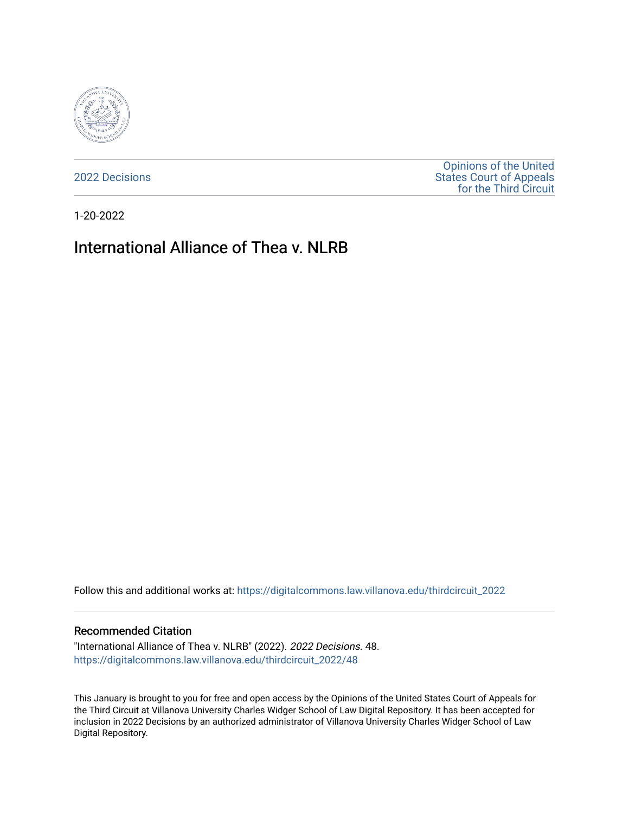

[2022 Decisions](https://digitalcommons.law.villanova.edu/thirdcircuit_2022)

[Opinions of the United](https://digitalcommons.law.villanova.edu/thirdcircuit)  [States Court of Appeals](https://digitalcommons.law.villanova.edu/thirdcircuit)  [for the Third Circuit](https://digitalcommons.law.villanova.edu/thirdcircuit) 

1-20-2022

# International Alliance of Thea v. NLRB

Follow this and additional works at: [https://digitalcommons.law.villanova.edu/thirdcircuit\\_2022](https://digitalcommons.law.villanova.edu/thirdcircuit_2022?utm_source=digitalcommons.law.villanova.edu%2Fthirdcircuit_2022%2F48&utm_medium=PDF&utm_campaign=PDFCoverPages) 

#### Recommended Citation

"International Alliance of Thea v. NLRB" (2022). 2022 Decisions. 48. [https://digitalcommons.law.villanova.edu/thirdcircuit\\_2022/48](https://digitalcommons.law.villanova.edu/thirdcircuit_2022/48?utm_source=digitalcommons.law.villanova.edu%2Fthirdcircuit_2022%2F48&utm_medium=PDF&utm_campaign=PDFCoverPages)

This January is brought to you for free and open access by the Opinions of the United States Court of Appeals for the Third Circuit at Villanova University Charles Widger School of Law Digital Repository. It has been accepted for inclusion in 2022 Decisions by an authorized administrator of Villanova University Charles Widger School of Law Digital Repository.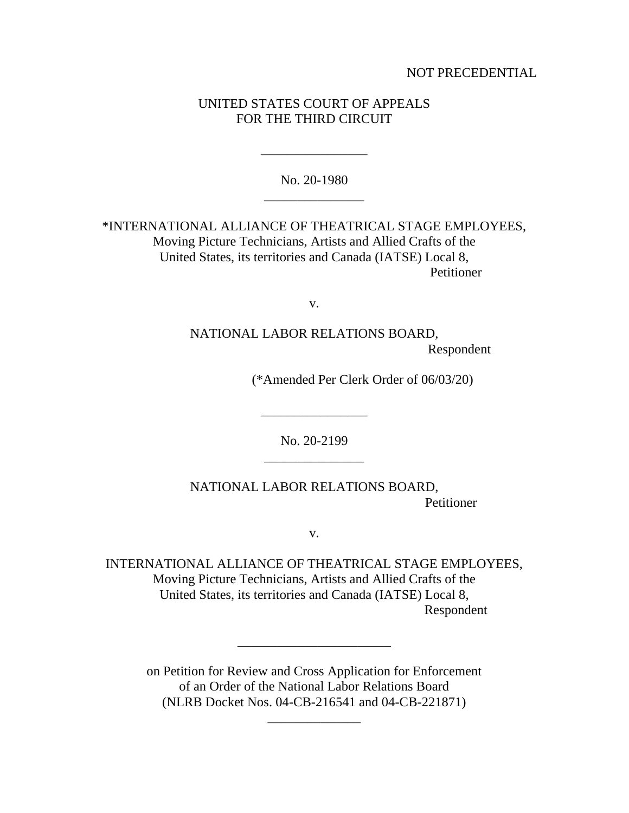NOT PRECEDENTIAL

## UNITED STATES COURT OF APPEALS FOR THE THIRD CIRCUIT

No. 20-1980 \_\_\_\_\_\_\_\_\_\_\_\_\_\_\_

\_\_\_\_\_\_\_\_\_\_\_\_\_\_\_\_

\*INTERNATIONAL ALLIANCE OF THEATRICAL STAGE EMPLOYEES, Moving Picture Technicians, Artists and Allied Crafts of the United States, its territories and Canada (IATSE) Local 8, Petitioner

v.

NATIONAL LABOR RELATIONS BOARD, Respondent

(\*Amended Per Clerk Order of 06/03/20)

No. 20-2199 \_\_\_\_\_\_\_\_\_\_\_\_\_\_\_

\_\_\_\_\_\_\_\_\_\_\_\_\_\_\_\_

NATIONAL LABOR RELATIONS BOARD, Petitioner

v.

INTERNATIONAL ALLIANCE OF THEATRICAL STAGE EMPLOYEES, Moving Picture Technicians, Artists and Allied Crafts of the United States, its territories and Canada (IATSE) Local 8, Respondent

on Petition for Review and Cross Application for Enforcement of an Order of the National Labor Relations Board (NLRB Docket Nos. 04-CB-216541 and 04-CB-221871)

\_\_\_\_\_\_\_\_\_\_\_\_\_\_

\_\_\_\_\_\_\_\_\_\_\_\_\_\_\_\_\_\_\_\_\_\_\_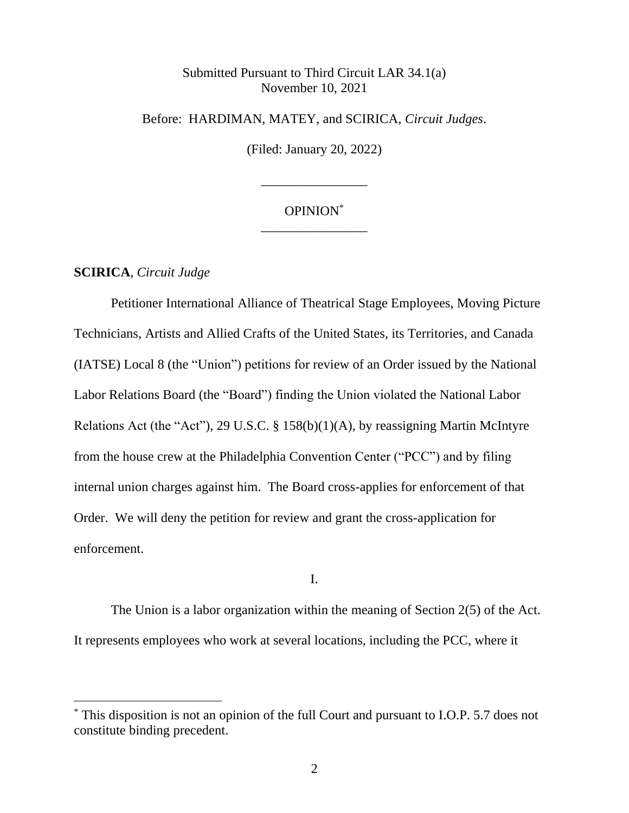## Submitted Pursuant to Third Circuit LAR 34.1(a) November 10, 2021

Before: HARDIMAN, MATEY, and SCIRICA, *Circuit Judges*.

(Filed: January 20, 2022)

# OPINION\* \_\_\_\_\_\_\_\_\_\_\_\_\_\_\_\_

\_\_\_\_\_\_\_\_\_\_\_\_\_\_\_\_

### **SCIRICA**, *Circuit Judge*

Petitioner International Alliance of Theatrical Stage Employees, Moving Picture Technicians, Artists and Allied Crafts of the United States, its Territories, and Canada (IATSE) Local 8 (the "Union") petitions for review of an Order issued by the National Labor Relations Board (the "Board") finding the Union violated the National Labor Relations Act (the "Act"), 29 U.S.C. § 158(b)(1)(A), by reassigning Martin McIntyre from the house crew at the Philadelphia Convention Center ("PCC") and by filing internal union charges against him. The Board cross-applies for enforcement of that Order. We will deny the petition for review and grant the cross-application for enforcement.

#### I.

The Union is a labor organization within the meaning of Section 2(5) of the Act. It represents employees who work at several locations, including the PCC, where it

This disposition is not an opinion of the full Court and pursuant to I.O.P. 5.7 does not constitute binding precedent.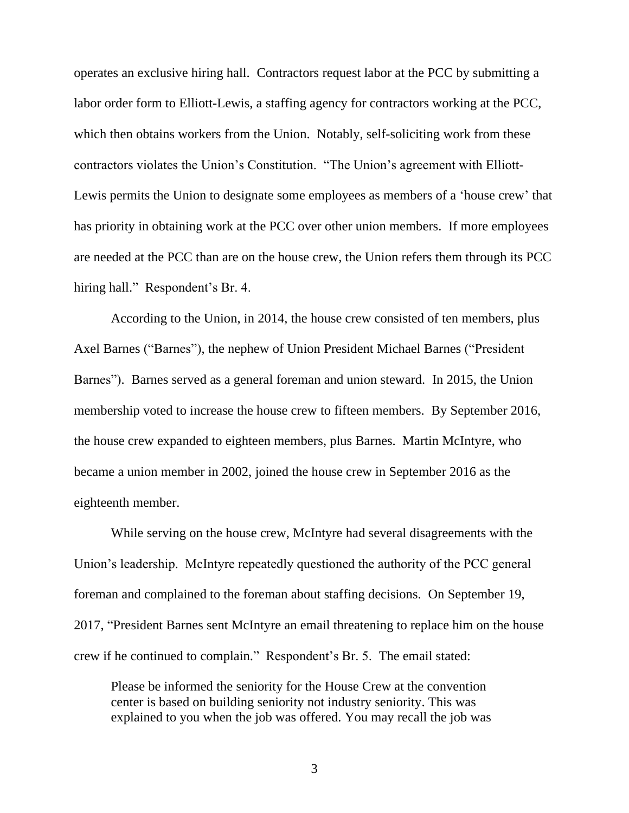operates an exclusive hiring hall. Contractors request labor at the PCC by submitting a labor order form to Elliott-Lewis, a staffing agency for contractors working at the PCC, which then obtains workers from the Union. Notably, self-soliciting work from these contractors violates the Union's Constitution. "The Union's agreement with Elliott-Lewis permits the Union to designate some employees as members of a 'house crew' that has priority in obtaining work at the PCC over other union members. If more employees are needed at the PCC than are on the house crew, the Union refers them through its PCC hiring hall." Respondent's Br. 4.

According to the Union, in 2014, the house crew consisted of ten members, plus Axel Barnes ("Barnes"), the nephew of Union President Michael Barnes ("President Barnes"). Barnes served as a general foreman and union steward. In 2015, the Union membership voted to increase the house crew to fifteen members. By September 2016, the house crew expanded to eighteen members, plus Barnes. Martin McIntyre, who became a union member in 2002, joined the house crew in September 2016 as the eighteenth member.

While serving on the house crew, McIntyre had several disagreements with the Union's leadership. McIntyre repeatedly questioned the authority of the PCC general foreman and complained to the foreman about staffing decisions. On September 19, 2017, "President Barnes sent McIntyre an email threatening to replace him on the house crew if he continued to complain." Respondent's Br. 5. The email stated:

Please be informed the seniority for the House Crew at the convention center is based on building seniority not industry seniority. This was explained to you when the job was offered. You may recall the job was

3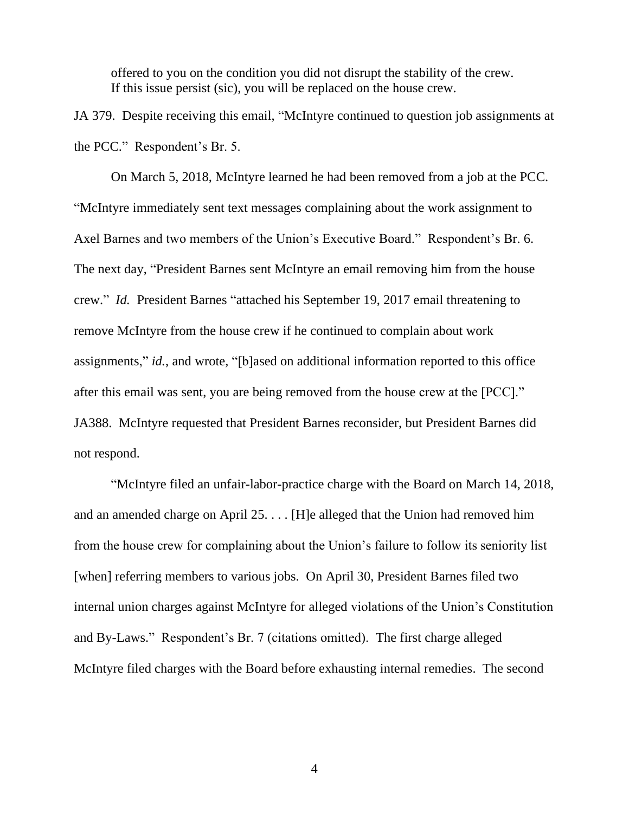offered to you on the condition you did not disrupt the stability of the crew. If this issue persist (sic), you will be replaced on the house crew.

JA 379. Despite receiving this email, "McIntyre continued to question job assignments at the PCC." Respondent's Br. 5.

On March 5, 2018, McIntyre learned he had been removed from a job at the PCC. "McIntyre immediately sent text messages complaining about the work assignment to Axel Barnes and two members of the Union's Executive Board." Respondent's Br. 6. The next day, "President Barnes sent McIntyre an email removing him from the house crew." *Id.* President Barnes "attached his September 19, 2017 email threatening to remove McIntyre from the house crew if he continued to complain about work assignments," *id.*, and wrote, "[b]ased on additional information reported to this office after this email was sent, you are being removed from the house crew at the [PCC]." JA388. McIntyre requested that President Barnes reconsider, but President Barnes did not respond.

"McIntyre filed an unfair-labor-practice charge with the Board on March 14, 2018, and an amended charge on April 25. . . . [H]e alleged that the Union had removed him from the house crew for complaining about the Union's failure to follow its seniority list [when] referring members to various jobs. On April 30, President Barnes filed two internal union charges against McIntyre for alleged violations of the Union's Constitution and By-Laws." Respondent's Br. 7 (citations omitted). The first charge alleged McIntyre filed charges with the Board before exhausting internal remedies. The second

4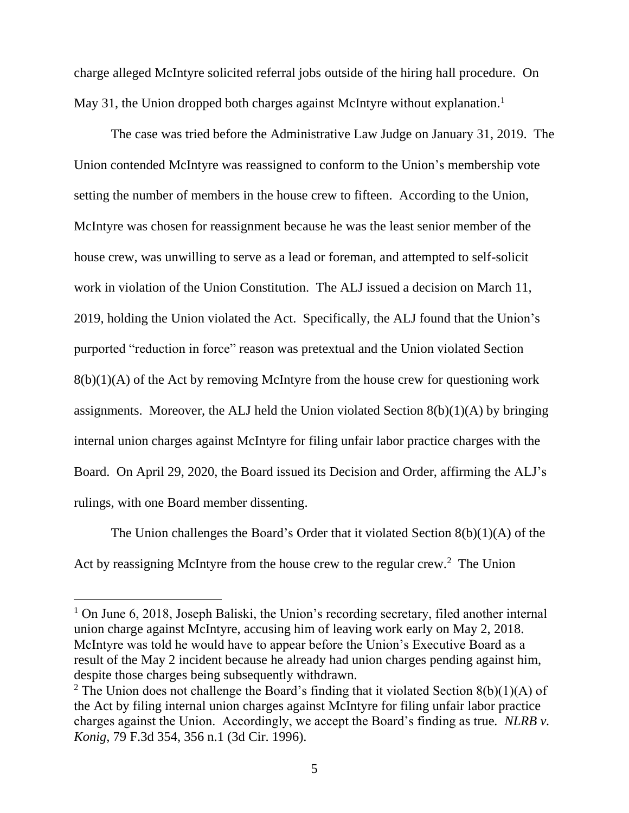charge alleged McIntyre solicited referral jobs outside of the hiring hall procedure. On May 31, the Union dropped both charges against McIntyre without explanation.<sup>1</sup>

The case was tried before the Administrative Law Judge on January 31, 2019. The Union contended McIntyre was reassigned to conform to the Union's membership vote setting the number of members in the house crew to fifteen. According to the Union, McIntyre was chosen for reassignment because he was the least senior member of the house crew, was unwilling to serve as a lead or foreman, and attempted to self-solicit work in violation of the Union Constitution. The ALJ issued a decision on March 11, 2019, holding the Union violated the Act. Specifically, the ALJ found that the Union's purported "reduction in force" reason was pretextual and the Union violated Section  $8(b)(1)(A)$  of the Act by removing McIntyre from the house crew for questioning work assignments. Moreover, the ALJ held the Union violated Section  $8(b)(1)(A)$  by bringing internal union charges against McIntyre for filing unfair labor practice charges with the Board. On April 29, 2020, the Board issued its Decision and Order, affirming the ALJ's rulings, with one Board member dissenting.

The Union challenges the Board's Order that it violated Section 8(b)(1)(A) of the Act by reassigning McIntyre from the house crew to the regular crew. $2$  The Union

<sup>&</sup>lt;sup>1</sup> On June 6, 2018, Joseph Baliski, the Union's recording secretary, filed another internal union charge against McIntyre, accusing him of leaving work early on May 2, 2018. McIntyre was told he would have to appear before the Union's Executive Board as a result of the May 2 incident because he already had union charges pending against him, despite those charges being subsequently withdrawn.

<sup>&</sup>lt;sup>2</sup> The Union does not challenge the Board's finding that it violated Section  $8(b)(1)(A)$  of the Act by filing internal union charges against McIntyre for filing unfair labor practice charges against the Union. Accordingly, we accept the Board's finding as true*. NLRB v. Konig*, 79 F.3d 354, 356 n.1 (3d Cir. 1996).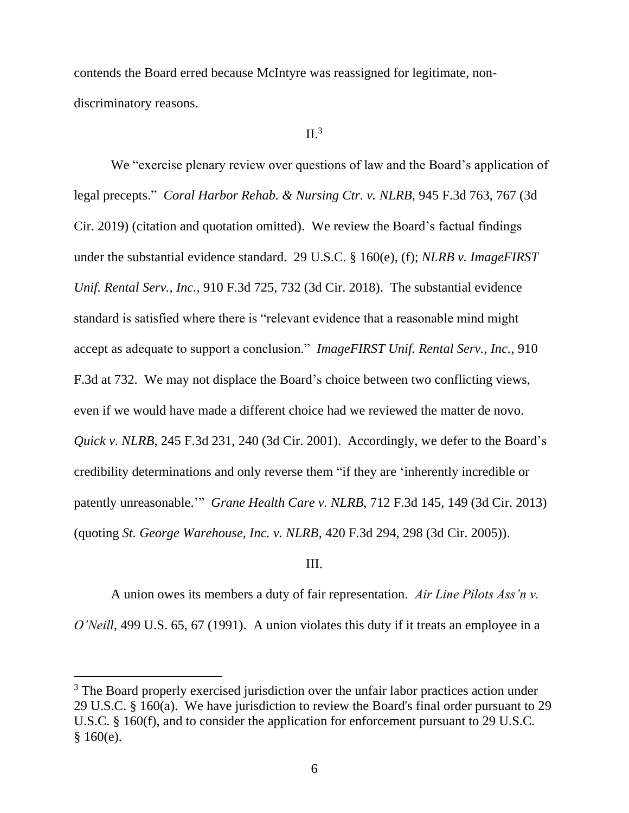contends the Board erred because McIntyre was reassigned for legitimate, nondiscriminatory reasons.

## $II.^3$

We "exercise plenary review over questions of law and the Board's application of legal precepts." *Coral Harbor Rehab. & Nursing Ctr. v. NLRB*, 945 F.3d 763, 767 (3d Cir. 2019) (citation and quotation omitted). We review the Board's factual findings under the substantial evidence standard. 29 U.S.C. § 160(e), (f); *NLRB v. ImageFIRST Unif. Rental Serv., Inc.*, 910 F.3d 725, 732 (3d Cir. 2018). The substantial evidence standard is satisfied where there is "relevant evidence that a reasonable mind might accept as adequate to support a conclusion." *ImageFIRST Unif. Rental Serv., Inc.*, 910 F.3d at 732. We may not displace the Board's choice between two conflicting views, even if we would have made a different choice had we reviewed the matter de novo. *Quick v. NLRB*, 245 F.3d 231, 240 (3d Cir. 2001). Accordingly, we defer to the Board's credibility determinations and only reverse them "if they are 'inherently incredible or patently unreasonable.'" *Grane Health Care v. NLRB*, 712 F.3d 145, 149 (3d Cir. 2013) (quoting *St. George Warehouse, Inc. v. NLRB*, 420 F.3d 294, 298 (3d Cir. 2005)).

#### III.

A union owes its members a duty of fair representation. *Air Line Pilots Ass'n v. O'Neill*, 499 U.S. 65, 67 (1991). A union violates this duty if it treats an employee in a

<sup>&</sup>lt;sup>3</sup> The Board properly exercised jurisdiction over the unfair labor practices action under 29 U.S.C. § 160(a). We have jurisdiction to review the Board's final order pursuant to 29 U.S.C. § 160(f), and to consider the application for enforcement pursuant to 29 U.S.C.  $§ 160(e).$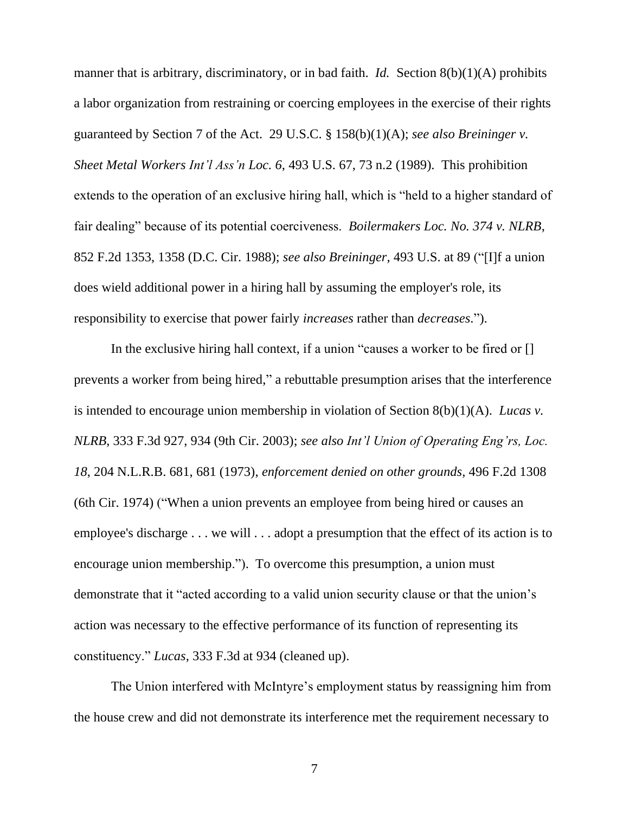manner that is arbitrary, discriminatory, or in bad faith. *Id.* Section 8(b)(1)(A) prohibits a labor organization from restraining or coercing employees in the exercise of their rights guaranteed by Section 7 of the Act. 29 U.S.C. § 158(b)(1)(A); *see also Breininger v. Sheet Metal Workers Int'l Ass'n Loc. 6*, 493 U.S. 67, 73 n.2 (1989). This prohibition extends to the operation of an exclusive hiring hall, which is "held to a higher standard of fair dealing" because of its potential coerciveness. *Boilermakers Loc. No. 374 v. NLRB*, 852 F.2d 1353, 1358 (D.C. Cir. 1988); *see also Breininger*, 493 U.S. at 89 ("[I]f a union does wield additional power in a hiring hall by assuming the employer's role, its responsibility to exercise that power fairly *increases* rather than *decreases*.").

In the exclusive hiring hall context, if a union "causes a worker to be fired or [] prevents a worker from being hired," a rebuttable presumption arises that the interference is intended to encourage union membership in violation of Section 8(b)(1)(A). *Lucas v. NLRB*, 333 F.3d 927, 934 (9th Cir. 2003); *see also Int'l Union of Operating Eng'rs, Loc. 18*, 204 N.L.R.B. 681, 681 (1973), *enforcement denied on other grounds*, 496 F.2d 1308 (6th Cir. 1974) ("When a union prevents an employee from being hired or causes an employee's discharge . . . we will . . . adopt a presumption that the effect of its action is to encourage union membership."). To overcome this presumption, a union must demonstrate that it "acted according to a valid union security clause or that the union's action was necessary to the effective performance of its function of representing its constituency." *Lucas*, 333 F.3d at 934 (cleaned up).

The Union interfered with McIntyre's employment status by reassigning him from the house crew and did not demonstrate its interference met the requirement necessary to

7